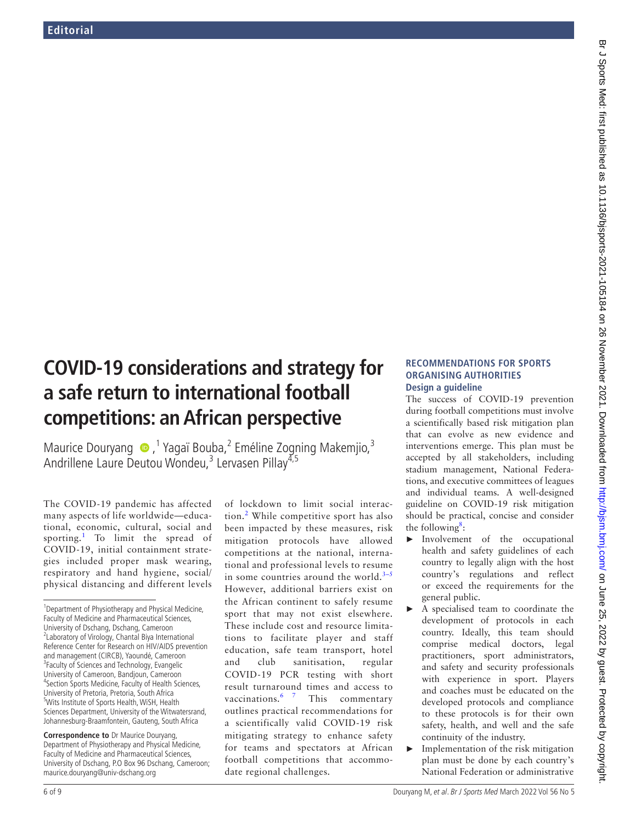# **COVID-19 considerations and strategy for a safe return to international football competitions: an African perspective**

MauriceDouryang <sup>®</sup>,<sup>1</sup> Yagaï Bouba,<sup>2</sup> Eméline Zogning Makemjio,<sup>3</sup> Andrillene Laure Deutou Wondeu,<sup>3</sup> Lervasen Pillay<sup>4,5</sup>

The COVID-19 pandemic has affected many aspects of life worldwide—educational, economic, cultural, social and sporting.<sup>[1](#page-1-0)</sup> To limit the spread of COVID-19, initial containment strategies included proper mask wearing, respiratory and hand hygiene, social/ physical distancing and different levels

**Correspondence to** Dr Maurice Douryang, Department of Physiotherapy and Physical Medicine, Faculty of Medicine and Pharmaceutical Sciences, University of Dschang, P.O Box 96 Dschang, Cameroon; maurice.douryang@univ-dschang.org

of lockdown to limit social interaction.[2](#page-1-0) While competitive sport has also been impacted by these measures, risk mitigation protocols have allowed competitions at the national, international and professional levels to resume in some countries around the world. $3-5$ However, additional barriers exist on the African continent to safely resume sport that may not exist elsewhere. These include cost and resource limitations to facilitate player and staff education, safe team transport, hotel and club sanitisation, regular COVID-19 PCR testing with short result turnaround times and access to vaccinations.  $6 \times 7$  This commentary outlines practical recommendations for a scientifically valid COVID-19 risk mitigating strategy to enhance safety for teams and spectators at African football competitions that accommodate regional challenges.

## **RECOMMENDATIONS FOR SPORTS ORGANISING AUTHORITIES Design a guideline**

The success of COVID-19 prevention during football competitions must involve a scientifically based risk mitigation plan that can evolve as new evidence and interventions emerge. This plan must be accepted by all stakeholders, including stadium management, National Federations, and executive committees of leagues and individual teams. A well-designed guideline on COVID-19 risk mitigation should be practical, concise and consider the following<sup>[8](#page-1-0)</sup>:

- ► Involvement of the occupational health and safety guidelines of each country to legally align with the host country's regulations and reflect or exceed the requirements for the general public.
- ► A specialised team to coordinate the development of protocols in each country. Ideally, this team should comprise medical doctors, legal practitioners, sport administrators, and safety and security professionals with experience in sport. Players and coaches must be educated on the developed protocols and compliance to these protocols is for their own safety, health, and well and the safe continuity of the industry.
- ► Implementation of the risk mitigation plan must be done by each country's National Federation or administrative

<sup>&</sup>lt;sup>1</sup>Department of Physiotherapy and Physical Medicine, Faculty of Medicine and Pharmaceutical Sciences, University of Dschang, Dschang, Cameroon <sup>2</sup> Laboratory of Virology, Chantal Biya International Reference Center for Research on HIV/AIDS prevention and management (CIRCB), Yaoundé, Cameroon <sup>3</sup> Faculty of Sciences and Technology, Evangelic University of Cameroon, Bandjoun, Cameroon 4 Section Sports Medicine, Faculty of Health Sciences, University of Pretoria, Pretoria, South Africa 5 Wits Institute of Sports Health, WiSH, Health Sciences Department, University of the Witwatersrand, Johannesburg-Braamfontein, Gauteng, South Africa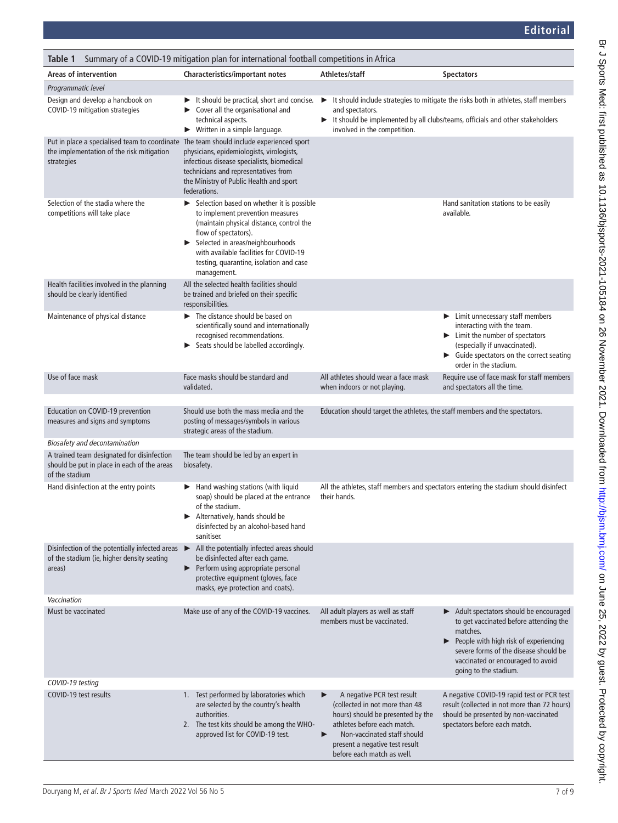<span id="page-1-0"></span>

| Summary of a COVID-19 mitigation plan for international football competitions in Africa<br>Table 1                                                 |                                                                                                                                                                                                                                                                                                     |                                                                                                                                                                                                                                           |                                                                                                                                                                                                             |
|----------------------------------------------------------------------------------------------------------------------------------------------------|-----------------------------------------------------------------------------------------------------------------------------------------------------------------------------------------------------------------------------------------------------------------------------------------------------|-------------------------------------------------------------------------------------------------------------------------------------------------------------------------------------------------------------------------------------------|-------------------------------------------------------------------------------------------------------------------------------------------------------------------------------------------------------------|
| <b>Areas of intervention</b>                                                                                                                       | Characteristics/important notes                                                                                                                                                                                                                                                                     | Athletes/staff                                                                                                                                                                                                                            | <b>Spectators</b>                                                                                                                                                                                           |
| Programmatic level                                                                                                                                 |                                                                                                                                                                                                                                                                                                     |                                                                                                                                                                                                                                           |                                                                                                                                                                                                             |
| Design and develop a handbook on<br>COVID-19 mitigation strategies                                                                                 | It should be practical, short and concise.<br>Cover all the organisational and<br>▶<br>technical aspects.<br>$\triangleright$ Written in a simple language.                                                                                                                                         | It should include strategies to mitigate the risks both in athletes, staff members<br>▶<br>and spectators.<br>It should be implemented by all clubs/teams, officials and other stakeholders<br>involved in the competition.               |                                                                                                                                                                                                             |
| Put in place a specialised team to coordinate The team should include experienced sport<br>the implementation of the risk mitigation<br>strategies | physicians, epidemiologists, virologists,<br>infectious disease specialists, biomedical<br>technicians and representatives from<br>the Ministry of Public Health and sport<br>federations.                                                                                                          |                                                                                                                                                                                                                                           |                                                                                                                                                                                                             |
| Selection of the stadia where the<br>competitions will take place                                                                                  | Selection based on whether it is possible<br>▶<br>to implement prevention measures<br>(maintain physical distance, control the<br>flow of spectators).<br>Selected in areas/neighbourhoods<br>▶<br>with available facilities for COVID-19<br>testing, quarantine, isolation and case<br>management. |                                                                                                                                                                                                                                           | Hand sanitation stations to be easily<br>available.                                                                                                                                                         |
| Health facilities involved in the planning<br>should be clearly identified                                                                         | All the selected health facilities should<br>be trained and briefed on their specific<br>responsibilities.                                                                                                                                                                                          |                                                                                                                                                                                                                                           |                                                                                                                                                                                                             |
| Maintenance of physical distance                                                                                                                   | The distance should be based on<br>scientifically sound and internationally<br>recognised recommendations.<br>Seats should be labelled accordingly.<br>▶                                                                                                                                            |                                                                                                                                                                                                                                           | Limit unnecessary staff members<br>▶<br>interacting with the team.<br>Eimit the number of spectators<br>(especially if unvaccinated).<br>• Guide spectators on the correct seating<br>order in the stadium. |
| Use of face mask                                                                                                                                   | Face masks should be standard and<br>validated.                                                                                                                                                                                                                                                     | All athletes should wear a face mask<br>when indoors or not playing.                                                                                                                                                                      | Require use of face mask for staff members<br>and spectators all the time.                                                                                                                                  |
| Education on COVID-19 prevention<br>measures and signs and symptoms                                                                                | Should use both the mass media and the<br>posting of messages/symbols in various<br>strategic areas of the stadium.                                                                                                                                                                                 | Education should target the athletes, the staff members and the spectators.                                                                                                                                                               |                                                                                                                                                                                                             |
| <b>Biosafety and decontamination</b>                                                                                                               |                                                                                                                                                                                                                                                                                                     |                                                                                                                                                                                                                                           |                                                                                                                                                                                                             |
| A trained team designated for disinfection<br>should be put in place in each of the areas<br>of the stadium                                        | The team should be led by an expert in<br>biosafety.                                                                                                                                                                                                                                                |                                                                                                                                                                                                                                           |                                                                                                                                                                                                             |
| Hand disinfection at the entry points                                                                                                              | $\blacktriangleright$ Hand washing stations (with liquid<br>soap) should be placed at the entrance<br>of the stadium.<br>Alternatively, hands should be<br>disinfected by an alcohol-based hand<br>sanitiser.                                                                                       | their hands.                                                                                                                                                                                                                              | All the athletes, staff members and spectators entering the stadium should disinfect                                                                                                                        |
| Disinfection of the potentially infected areas<br>of the stadium (ie, higher density seating<br>areas)                                             | All the potentially infected areas should<br>▶<br>be disinfected after each game.<br>Perform using appropriate personal<br>protective equipment (gloves, face<br>masks, eye protection and coats).                                                                                                  |                                                                                                                                                                                                                                           |                                                                                                                                                                                                             |
| Vaccination<br>Must be vaccinated                                                                                                                  | Make use of any of the COVID-19 vaccines.                                                                                                                                                                                                                                                           | All adult players as well as staff                                                                                                                                                                                                        | $\blacktriangleright$ Adult spectators should be encouraged                                                                                                                                                 |
|                                                                                                                                                    |                                                                                                                                                                                                                                                                                                     | members must be vaccinated.                                                                                                                                                                                                               | to get vaccinated before attending the<br>matches.<br>People with high risk of experiencing<br>severe forms of the disease should be<br>vaccinated or encouraged to avoid<br>going to the stadium.          |
| COVID-19 testing<br>COVID-19 test results                                                                                                          | 1. Test performed by laboratories which<br>are selected by the country's health<br>authorities.<br>2. The test kits should be among the WHO-<br>approved list for COVID-19 test.                                                                                                                    | A negative PCR test result<br>▶<br>(collected in not more than 48<br>hours) should be presented by the<br>athletes before each match.<br>Non-vaccinated staff should<br>▶<br>present a negative test result<br>before each match as well. | A negative COVID-19 rapid test or PCR test<br>result (collected in not more than 72 hours)<br>should be presented by non-vaccinated<br>spectators before each match.                                        |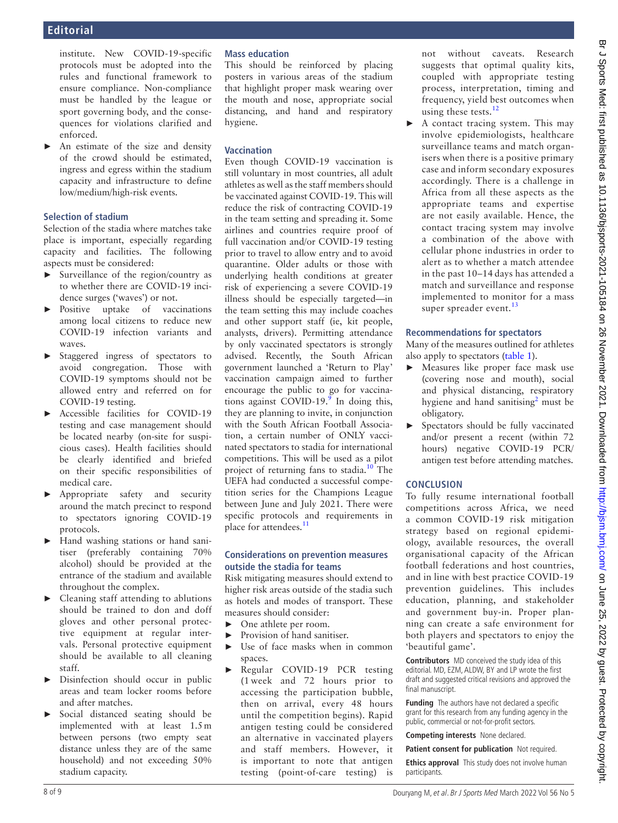institute. New COVID-19-specific protocols must be adopted into the rules and functional framework to ensure compliance. Non-compliance must be handled by the league or sport governing body, and the consequences for violations clarified and enforced.

► An estimate of the size and density of the crowd should be estimated, ingress and egress within the stadium capacity and infrastructure to define low/medium/high-risk events.

#### **Selection of stadium**

Selection of the stadia where matches take place is important, especially regarding capacity and facilities. The following aspects must be considered:

- ► Surveillance of the region/country as to whether there are COVID-19 incidence surges ('waves') or not.
- ► Positive uptake of vaccinations among local citizens to reduce new COVID-19 infection variants and waves.
- ► Staggered ingress of spectators to avoid congregation. Those with COVID-19 symptoms should not be allowed entry and referred on for COVID-19 testing.
- ► Accessible facilities for COVID-19 testing and case management should be located nearby (on-site for suspicious cases). Health facilities should be clearly identified and briefed on their specific responsibilities of medical care.
- ► Appropriate safety and security around the match precinct to respond to spectators ignoring COVID-19 protocols.
- ► Hand washing stations or hand sanitiser (preferably containing 70% alcohol) should be provided at the entrance of the stadium and available throughout the complex.
- ► Cleaning staff attending to ablutions should be trained to don and doff gloves and other personal protective equipment at regular intervals. Personal protective equipment should be available to all cleaning staff.
- ► Disinfection should occur in public areas and team locker rooms before and after matches.
- Social distanced seating should be implemented with at least 1.5m between persons (two empty seat distance unless they are of the same household) and not exceeding 50% stadium capacity.

## **Mass education**

This should be reinforced by placing posters in various areas of the stadium that highlight proper mask wearing over the mouth and nose, appropriate social distancing, and hand and respiratory hygiene.

## **Vaccination**

Even though COVID-19 vaccination is still voluntary in most countries, all adult athletes as well as the staff members should be vaccinated against COVID-19. This will reduce the risk of contracting COVID-19 in the team setting and spreading it. Some airlines and countries require proof of full vaccination and/or COVID-19 testing prior to travel to allow entry and to avoid quarantine. Older adults or those with underlying health conditions at greater risk of experiencing a severe COVID-19 illness should be especially targeted—in the team setting this may include coaches and other support staff (ie, kit people, analysts, drivers). Permitting attendance by only vaccinated spectators is strongly advised. Recently, the South African government launched a 'Return to Play' vaccination campaign aimed to further encourage the public to go for vaccinations against COVID-19. $\degree$  In doing this, they are planning to invite, in conjunction with the South African Football Association, a certain number of ONLY vaccinated spectators to stadia for international competitions. This will be used as a pilot project of returning fans to stadia.<sup>10</sup> The UEFA had conducted a successful competition series for the Champions League between June and July 2021. There were specific protocols and requirements in place for attendees.<sup>11</sup>

#### **Considerations on prevention measures outside the stadia for teams**

Risk mitigating measures should extend to higher risk areas outside of the stadia such as hotels and modes of transport. These measures should consider:

- ► One athlete per room.
- Provision of hand sanitiser.
- ► Use of face masks when in common spaces.
- ► Regular COVID-19 PCR testing (1 week and 72 hours prior to accessing the participation bubble, then on arrival, every 48 hours until the competition begins). Rapid antigen testing could be considered an alternative in vaccinated players and staff members. However, it is important to note that antigen testing (point-of-care testing) is

not without caveats. Research suggests that optimal quality kits, coupled with appropriate testing process, interpretation, timing and frequency, yield best outcomes when using these tests. $12$ 

A contact tracing system. This may involve epidemiologists, healthcare surveillance teams and match organisers when there is a positive primary case and inform secondary exposures accordingly. There is a challenge in Africa from all these aspects as the appropriate teams and expertise are not easily available. Hence, the contact tracing system may involve a combination of the above with cellular phone industries in order to alert as to whether a match attendee in the past 10–14 days has attended a match and surveillance and response implemented to monitor for a mass super spreader event. $^{13}$ 

## **Recommendations for spectators**

Many of the measures outlined for athletes also apply to spectators (table 1).

- ► Measures like proper face mask use (covering nose and mouth), social and physical distancing, respiratory hygiene and hand sanitising $^2$  $^2$  must be obligatory.
- Spectators should be fully vaccinated and/or present a recent (within 72 hours) negative COVID-19 PCR/ antigen test before attending matches.

# **CONCLUSION**

To fully resume international football competitions across Africa, we need a common COVID-19 risk mitigation strategy based on regional epidemiology, available resources, the overall organisational capacity of the African football federations and host countries, and in line with best practice COVID-19 prevention guidelines. This includes education, planning, and stakeholder and government buy-in. Proper planning can create a safe environment for both players and spectators to enjoy the 'beautiful game'.

**Contributors** MD conceived the study idea of this editorial. MD, EZM, ALDW, BY and LP wrote the first draft and suggested critical revisions and approved the final manuscript.

**Funding** The authors have not declared a specific grant for this research from any funding agency in the public, commercial or not-for-profit sectors.

**Competing interests** None declared.

**Patient consent for publication** Not required.

**Ethics approval** This study does not involve human participants.